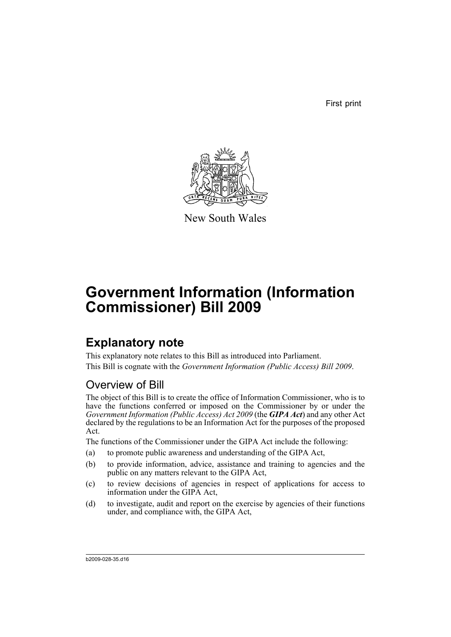First print



New South Wales

# **Government Information (Information Commissioner) Bill 2009**

# **Explanatory note**

This explanatory note relates to this Bill as introduced into Parliament. This Bill is cognate with the *Government Information (Public Access) Bill 2009*.

# Overview of Bill

The object of this Bill is to create the office of Information Commissioner, who is to have the functions conferred or imposed on the Commissioner by or under the *Government Information (Public Access) Act 2009* (the *GIPA Act*) and any other Act declared by the regulations to be an Information Act for the purposes of the proposed Act.

The functions of the Commissioner under the GIPA Act include the following:

- (a) to promote public awareness and understanding of the GIPA Act,
- (b) to provide information, advice, assistance and training to agencies and the public on any matters relevant to the GIPA Act,
- (c) to review decisions of agencies in respect of applications for access to information under the GIPA Act,
- (d) to investigate, audit and report on the exercise by agencies of their functions under, and compliance with, the GIPA Act,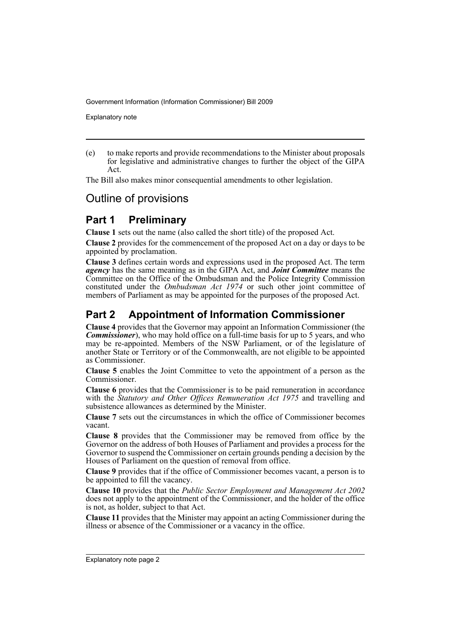Explanatory note

(e) to make reports and provide recommendations to the Minister about proposals for legislative and administrative changes to further the object of the GIPA Act.

The Bill also makes minor consequential amendments to other legislation.

# Outline of provisions

## **Part 1 Preliminary**

**Clause 1** sets out the name (also called the short title) of the proposed Act.

**Clause 2** provides for the commencement of the proposed Act on a day or days to be appointed by proclamation.

**Clause 3** defines certain words and expressions used in the proposed Act. The term *agency* has the same meaning as in the GIPA Act, and *Joint Committee* means the Committee on the Office of the Ombudsman and the Police Integrity Commission constituted under the *Ombudsman Act 1974* or such other joint committee of members of Parliament as may be appointed for the purposes of the proposed Act.

# **Part 2 Appointment of Information Commissioner**

**Clause 4** provides that the Governor may appoint an Information Commissioner (the *Commissioner*), who may hold office on a full-time basis for up to 5 years, and who may be re-appointed. Members of the NSW Parliament, or of the legislature of another State or Territory or of the Commonwealth, are not eligible to be appointed as Commissioner.

**Clause 5** enables the Joint Committee to veto the appointment of a person as the Commissioner.

**Clause 6** provides that the Commissioner is to be paid remuneration in accordance with the *Statutory and Other Offices Remuneration Act 1975* and travelling and subsistence allowances as determined by the Minister.

**Clause 7** sets out the circumstances in which the office of Commissioner becomes vacant.

**Clause 8** provides that the Commissioner may be removed from office by the Governor on the address of both Houses of Parliament and provides a process for the Governor to suspend the Commissioner on certain grounds pending a decision by the Houses of Parliament on the question of removal from office.

**Clause 9** provides that if the office of Commissioner becomes vacant, a person is to be appointed to fill the vacancy.

**Clause 10** provides that the *Public Sector Employment and Management Act 2002* does not apply to the appointment of the Commissioner, and the holder of the office is not, as holder, subject to that Act.

**Clause 11** provides that the Minister may appoint an acting Commissioner during the illness or absence of the Commissioner or a vacancy in the office.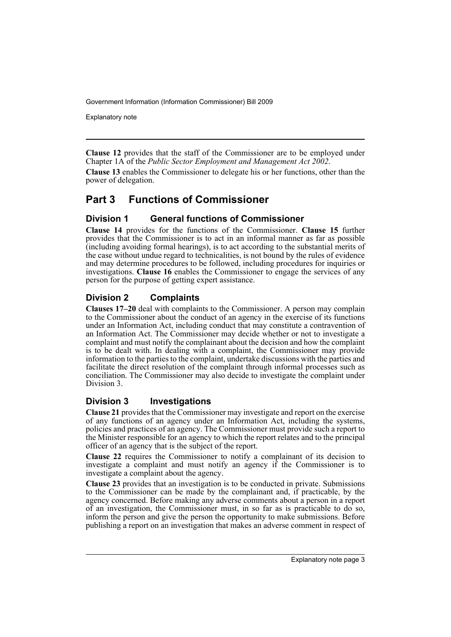Explanatory note

**Clause 12** provides that the staff of the Commissioner are to be employed under Chapter 1A of the *Public Sector Employment and Management Act 2002*.

**Clause 13** enables the Commissioner to delegate his or her functions, other than the power of delegation.

## **Part 3 Functions of Commissioner**

### **Division 1 General functions of Commissioner**

**Clause 14** provides for the functions of the Commissioner. **Clause 15** further provides that the Commissioner is to act in an informal manner as far as possible (including avoiding formal hearings), is to act according to the substantial merits of the case without undue regard to technicalities, is not bound by the rules of evidence and may determine procedures to be followed, including procedures for inquiries or investigations. **Clause 16** enables the Commissioner to engage the services of any person for the purpose of getting expert assistance.

## **Division 2 Complaints**

**Clauses 17–20** deal with complaints to the Commissioner. A person may complain to the Commissioner about the conduct of an agency in the exercise of its functions under an Information Act, including conduct that may constitute a contravention of an Information Act. The Commissioner may decide whether or not to investigate a complaint and must notify the complainant about the decision and how the complaint is to be dealt with. In dealing with a complaint, the Commissioner may provide information to the parties to the complaint, undertake discussions with the parties and facilitate the direct resolution of the complaint through informal processes such as conciliation. The Commissioner may also decide to investigate the complaint under Division 3.

### **Division 3 Investigations**

**Clause 21** provides that the Commissioner may investigate and report on the exercise of any functions of an agency under an Information Act, including the systems, policies and practices of an agency. The Commissioner must provide such a report to the Minister responsible for an agency to which the report relates and to the principal officer of an agency that is the subject of the report.

**Clause 22** requires the Commissioner to notify a complainant of its decision to investigate a complaint and must notify an agency if the Commissioner is to investigate a complaint about the agency.

**Clause 23** provides that an investigation is to be conducted in private. Submissions to the Commissioner can be made by the complainant and, if practicable, by the agency concerned. Before making any adverse comments about a person in a report of an investigation, the Commissioner must, in so far as is practicable to do so, inform the person and give the person the opportunity to make submissions. Before publishing a report on an investigation that makes an adverse comment in respect of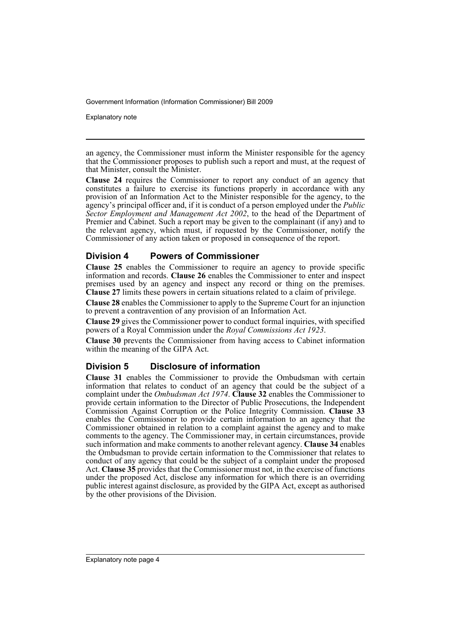Explanatory note

an agency, the Commissioner must inform the Minister responsible for the agency that the Commissioner proposes to publish such a report and must, at the request of that Minister, consult the Minister.

**Clause 24** requires the Commissioner to report any conduct of an agency that constitutes a failure to exercise its functions properly in accordance with any provision of an Information Act to the Minister responsible for the agency, to the agency's principal officer and, if it is conduct of a person employed under the *Public Sector Employment and Management Act 2002*, to the head of the Department of Premier and Cabinet. Such a report may be given to the complainant (if any) and to the relevant agency, which must, if requested by the Commissioner, notify the Commissioner of any action taken or proposed in consequence of the report.

### **Division 4 Powers of Commissioner**

**Clause 25** enables the Commissioner to require an agency to provide specific information and records. **Clause 26** enables the Commissioner to enter and inspect premises used by an agency and inspect any record or thing on the premises. **Clause 27** limits these powers in certain situations related to a claim of privilege.

**Clause 28** enables the Commissioner to apply to the Supreme Court for an injunction to prevent a contravention of any provision of an Information Act.

**Clause 29** gives the Commissioner power to conduct formal inquiries, with specified powers of a Royal Commission under the *Royal Commissions Act 1923*.

**Clause 30** prevents the Commissioner from having access to Cabinet information within the meaning of the GIPA Act.

### **Division 5 Disclosure of information**

**Clause 31** enables the Commissioner to provide the Ombudsman with certain information that relates to conduct of an agency that could be the subject of a complaint under the *Ombudsman Act 1974*. **Clause 32** enables the Commissioner to provide certain information to the Director of Public Prosecutions, the Independent Commission Against Corruption or the Police Integrity Commission. **Clause 33** enables the Commissioner to provide certain information to an agency that the Commissioner obtained in relation to a complaint against the agency and to make comments to the agency. The Commissioner may, in certain circumstances, provide such information and make comments to another relevant agency. **Clause 34** enables the Ombudsman to provide certain information to the Commissioner that relates to conduct of any agency that could be the subject of a complaint under the proposed Act. **Clause 35** provides that the Commissioner must not, in the exercise of functions under the proposed Act, disclose any information for which there is an overriding public interest against disclosure, as provided by the GIPA Act, except as authorised by the other provisions of the Division.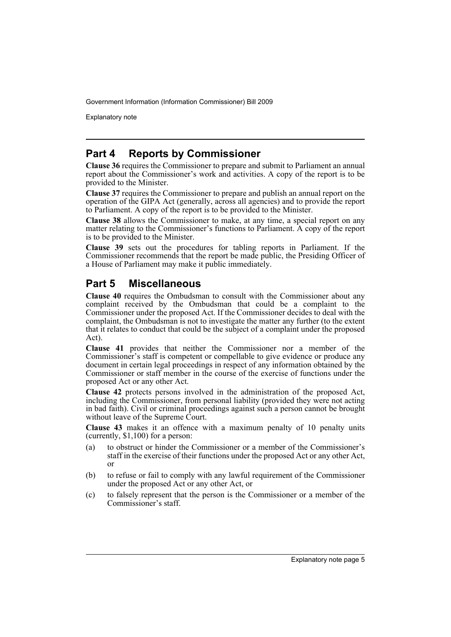Explanatory note

## **Part 4 Reports by Commissioner**

**Clause 36** requires the Commissioner to prepare and submit to Parliament an annual report about the Commissioner's work and activities. A copy of the report is to be provided to the Minister.

**Clause 37** requires the Commissioner to prepare and publish an annual report on the operation of the GIPA Act (generally, across all agencies) and to provide the report to Parliament. A copy of the report is to be provided to the Minister.

**Clause 38** allows the Commissioner to make, at any time, a special report on any matter relating to the Commissioner's functions to Parliament. A copy of the report is to be provided to the Minister.

**Clause 39** sets out the procedures for tabling reports in Parliament. If the Commissioner recommends that the report be made public, the Presiding Officer of a House of Parliament may make it public immediately.

# **Part 5 Miscellaneous**

**Clause 40** requires the Ombudsman to consult with the Commissioner about any complaint received by the Ombudsman that could be a complaint to the Commissioner under the proposed Act. If the Commissioner decides to deal with the complaint, the Ombudsman is not to investigate the matter any further (to the extent that it relates to conduct that could be the subject of a complaint under the proposed Act).

**Clause 41** provides that neither the Commissioner nor a member of the Commissioner's staff is competent or compellable to give evidence or produce any document in certain legal proceedings in respect of any information obtained by the Commissioner or staff member in the course of the exercise of functions under the proposed Act or any other Act.

**Clause 42** protects persons involved in the administration of the proposed Act, including the Commissioner, from personal liability (provided they were not acting in bad faith). Civil or criminal proceedings against such a person cannot be brought without leave of the Supreme Court.

**Clause 43** makes it an offence with a maximum penalty of 10 penalty units (currently, \$1,100) for a person:

- (a) to obstruct or hinder the Commissioner or a member of the Commissioner's staff in the exercise of their functions under the proposed Act or any other Act, or
- (b) to refuse or fail to comply with any lawful requirement of the Commissioner under the proposed Act or any other Act, or
- (c) to falsely represent that the person is the Commissioner or a member of the Commissioner's staff.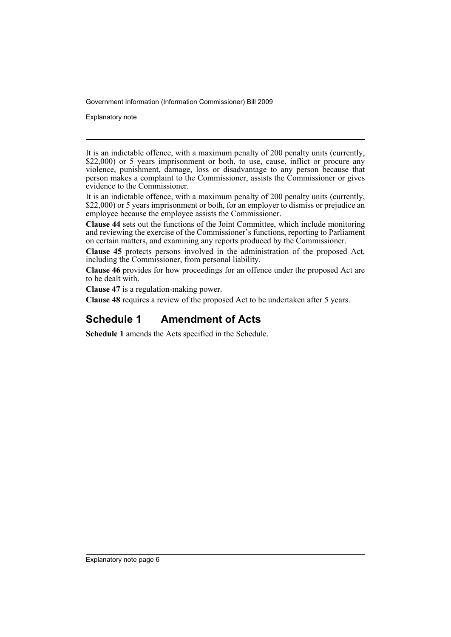Explanatory note

It is an indictable offence, with a maximum penalty of 200 penalty units (currently, \$22,000) or 5 years imprisonment or both, to use, cause, inflict or procure any violence, punishment, damage, loss or disadvantage to any person because that person makes a complaint to the Commissioner, assists the Commissioner or gives evidence to the Commissioner.

It is an indictable offence, with a maximum penalty of 200 penalty units (currently, \$22,000) or 5 years imprisonment or both, for an employer to dismiss or prejudice an employee because the employee assists the Commissioner.

**Clause 44** sets out the functions of the Joint Committee, which include monitoring and reviewing the exercise of the Commissioner's functions, reporting to Parliament on certain matters, and examining any reports produced by the Commissioner.

**Clause 45** protects persons involved in the administration of the proposed Act, including the Commissioner, from personal liability.

**Clause 46** provides for how proceedings for an offence under the proposed Act are to be dealt with.

**Clause 47** is a regulation-making power.

**Clause 48** requires a review of the proposed Act to be undertaken after 5 years.

## **Schedule 1 Amendment of Acts**

**Schedule 1** amends the Acts specified in the Schedule.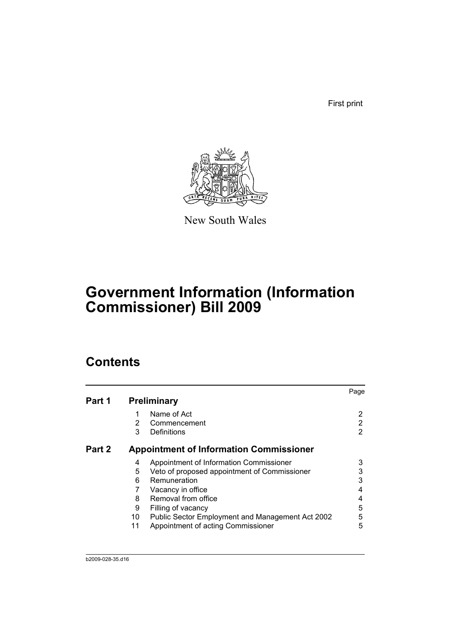First print



New South Wales

# **Government Information (Information Commissioner) Bill 2009**

# **Contents**

|        |    |                                                  | Page |
|--------|----|--------------------------------------------------|------|
| Part 1 |    | <b>Preliminary</b>                               |      |
|        |    | Name of Act                                      | 2    |
|        | 2  | Commencement                                     | 2    |
|        | 3  | Definitions                                      | 2    |
| Part 2 |    | <b>Appointment of Information Commissioner</b>   |      |
|        | 4  | Appointment of Information Commissioner          | 3    |
|        | 5  | Veto of proposed appointment of Commissioner     | 3    |
|        | 6  | Remuneration                                     | 3    |
|        |    | Vacancy in office                                |      |
|        | 8  | Removal from office                              |      |
|        | 9  | Filling of vacancy                               | 5    |
|        | 10 | Public Sector Employment and Management Act 2002 | 5    |
|        | 11 | Appointment of acting Commissioner               | 5    |
|        |    |                                                  |      |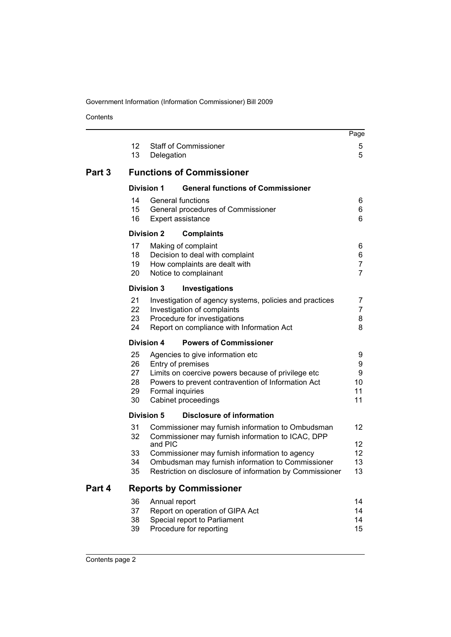Contents

|        |                                  |                   |                                                                                                                                                                                                                                                                           | Page                                       |
|--------|----------------------------------|-------------------|---------------------------------------------------------------------------------------------------------------------------------------------------------------------------------------------------------------------------------------------------------------------------|--------------------------------------------|
|        | 12<br>13                         | Delegation        | <b>Staff of Commissioner</b>                                                                                                                                                                                                                                              | 5<br>5                                     |
| Part 3 |                                  |                   | <b>Functions of Commissioner</b>                                                                                                                                                                                                                                          |                                            |
|        |                                  | <b>Division 1</b> | <b>General functions of Commissioner</b>                                                                                                                                                                                                                                  |                                            |
|        | 14<br>15<br>16                   |                   | <b>General functions</b><br>General procedures of Commissioner<br>Expert assistance                                                                                                                                                                                       | 6<br>6<br>6                                |
|        |                                  | <b>Division 2</b> | <b>Complaints</b>                                                                                                                                                                                                                                                         |                                            |
|        | 17<br>18<br>19<br>20             |                   | Making of complaint<br>Decision to deal with complaint<br>How complaints are dealt with<br>Notice to complainant                                                                                                                                                          | 6<br>6<br>$\overline{7}$<br>$\overline{7}$ |
|        |                                  | <b>Division 3</b> | <b>Investigations</b>                                                                                                                                                                                                                                                     |                                            |
|        | 21<br>22<br>23<br>24             |                   | Investigation of agency systems, policies and practices<br>Investigation of complaints<br>Procedure for investigations<br>Report on compliance with Information Act                                                                                                       | 7<br>7<br>8<br>8                           |
|        |                                  | <b>Division 4</b> | <b>Powers of Commissioner</b>                                                                                                                                                                                                                                             |                                            |
|        | 25<br>26<br>27<br>28<br>29<br>30 |                   | Agencies to give information etc<br>Entry of premises<br>Limits on coercive powers because of privilege etc<br>Powers to prevent contravention of Information Act<br>Formal inquiries<br>Cabinet proceedings                                                              | 9<br>9<br>9<br>10<br>11<br>11              |
|        |                                  | <b>Division 5</b> | <b>Disclosure of information</b>                                                                                                                                                                                                                                          |                                            |
|        | 31<br>32<br>33<br>34<br>35       | and PIC           | Commissioner may furnish information to Ombudsman<br>Commissioner may furnish information to ICAC, DPP<br>Commissioner may furnish information to agency<br>Ombudsman may furnish information to Commissioner<br>Restriction on disclosure of information by Commissioner | 12<br>12<br>12<br>13<br>13                 |
| Part 4 |                                  |                   | <b>Reports by Commissioner</b>                                                                                                                                                                                                                                            |                                            |
|        | 36<br>37<br>38<br>39             | Annual report     | Report on operation of GIPA Act<br>Special report to Parliament<br>Procedure for reporting                                                                                                                                                                                | 14<br>14<br>14<br>15                       |
|        |                                  |                   |                                                                                                                                                                                                                                                                           |                                            |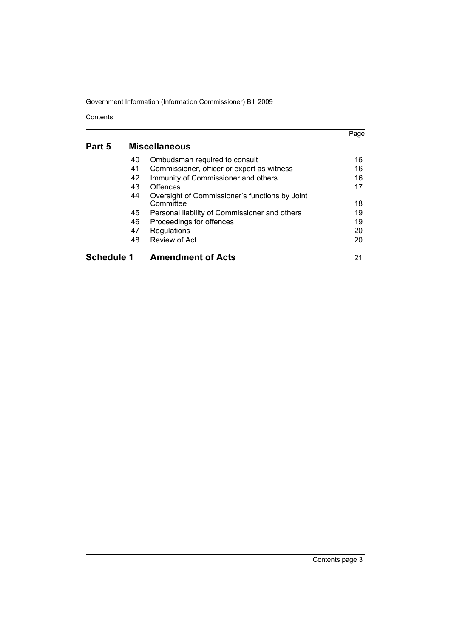Contents

|                   |    |                                                             | Page |
|-------------------|----|-------------------------------------------------------------|------|
| Part 5            |    | <b>Miscellaneous</b>                                        |      |
|                   | 40 | Ombudsman required to consult                               | 16   |
|                   | 41 | Commissioner, officer or expert as witness                  | 16   |
|                   | 42 | Immunity of Commissioner and others                         | 16   |
|                   | 43 | Offences                                                    | 17   |
|                   | 44 | Oversight of Commissioner's functions by Joint<br>Committee | 18   |
|                   | 45 | Personal liability of Commissioner and others               | 19   |
|                   | 46 | Proceedings for offences                                    | 19   |
|                   | 47 | Regulations                                                 | 20   |
|                   | 48 | Review of Act                                               | 20   |
| <b>Schedule 1</b> |    | <b>Amendment of Acts</b>                                    | 21   |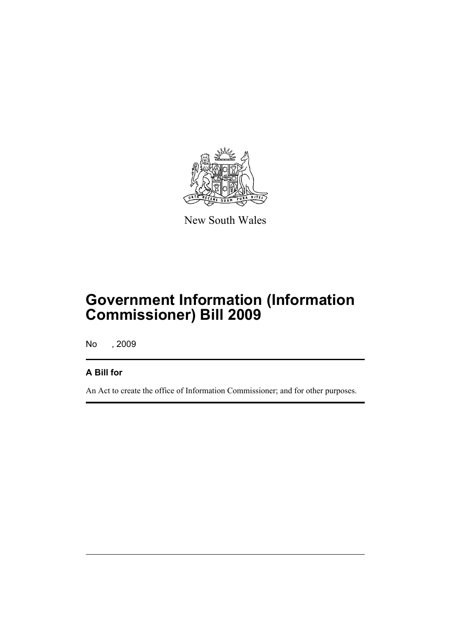

New South Wales

# **Government Information (Information Commissioner) Bill 2009**

No , 2009

## **A Bill for**

An Act to create the office of Information Commissioner; and for other purposes.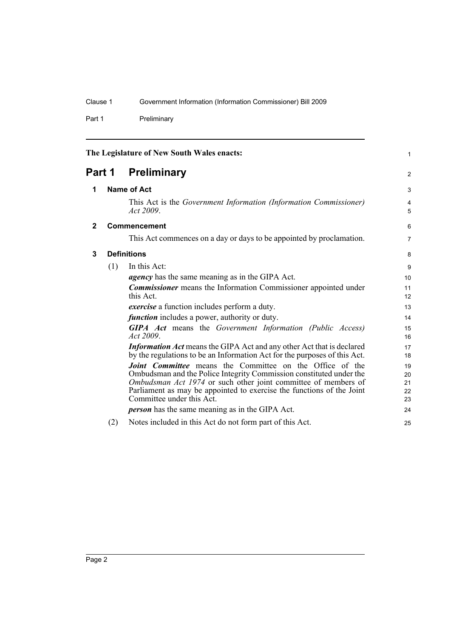Part 1 Preliminary

<span id="page-11-3"></span><span id="page-11-2"></span><span id="page-11-1"></span><span id="page-11-0"></span>

| The Legislature of New South Wales enacts: |                    |                                                                                                                                       | $\mathbf{1}$        |  |
|--------------------------------------------|--------------------|---------------------------------------------------------------------------------------------------------------------------------------|---------------------|--|
| Part 1                                     |                    | <b>Preliminary</b>                                                                                                                    | 2                   |  |
| 1                                          | <b>Name of Act</b> |                                                                                                                                       | 3                   |  |
|                                            |                    | This Act is the Government Information (Information Commissioner)<br>Act 2009.                                                        | $\overline{4}$<br>5 |  |
| $\mathbf{2}$                               |                    | Commencement                                                                                                                          | 6                   |  |
|                                            |                    | This Act commences on a day or days to be appointed by proclamation.                                                                  | $\overline{7}$      |  |
| 3                                          |                    | <b>Definitions</b>                                                                                                                    |                     |  |
|                                            | (1)                | In this Act:                                                                                                                          | 9                   |  |
|                                            |                    | <i>agency</i> has the same meaning as in the GIPA Act.                                                                                | 10                  |  |
|                                            |                    | <b>Commissioner</b> means the Information Commissioner appointed under                                                                | 11                  |  |
|                                            |                    | this Act.                                                                                                                             | 12                  |  |
|                                            |                    | exercise a function includes perform a duty.                                                                                          | 13                  |  |
|                                            |                    | <i>function</i> includes a power, authority or duty.                                                                                  | 14                  |  |
|                                            |                    | <b>GIPA</b> Act means the Government Information (Public Access)                                                                      | 15                  |  |
|                                            |                    | Act $2009$                                                                                                                            | 16                  |  |
|                                            |                    | <b>Information Act</b> means the GIPA Act and any other Act that is declared                                                          | 17                  |  |
|                                            |                    | by the regulations to be an Information Act for the purposes of this Act.                                                             | 18                  |  |
|                                            |                    | <b>Joint Committee</b> means the Committee on the Office of the                                                                       | 19                  |  |
|                                            |                    | Ombudsman and the Police Integrity Commission constituted under the<br>Ombudsman Act 1974 or such other joint committee of members of | 20<br>21            |  |
|                                            |                    | Parliament as may be appointed to exercise the functions of the Joint                                                                 | 22                  |  |
|                                            |                    | Committee under this Act.                                                                                                             | 23                  |  |
|                                            |                    | <b><i>person</i></b> has the same meaning as in the GIPA Act.                                                                         | 24                  |  |
|                                            | (2)                | Notes included in this Act do not form part of this Act.                                                                              | 25                  |  |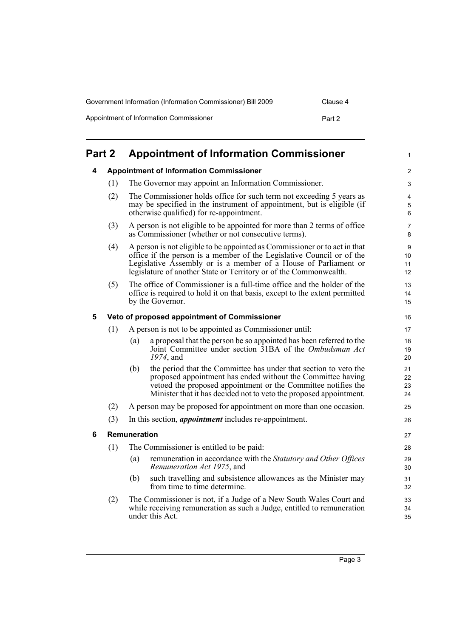| Government Information (Information Commissioner) Bill 2009 | Clause 4 |
|-------------------------------------------------------------|----------|
| Appointment of Information Commissioner                     | Part 2   |

<span id="page-12-3"></span><span id="page-12-2"></span><span id="page-12-1"></span><span id="page-12-0"></span>

| Part 2 |                                                |                                                       | <b>Appointment of Information Commissioner</b>                                                                                                                                                                                                                                              | $\mathbf{1}$         |
|--------|------------------------------------------------|-------------------------------------------------------|---------------------------------------------------------------------------------------------------------------------------------------------------------------------------------------------------------------------------------------------------------------------------------------------|----------------------|
| 4      | <b>Appointment of Information Commissioner</b> |                                                       |                                                                                                                                                                                                                                                                                             | $\overline{2}$       |
|        | (1)                                            | The Governor may appoint an Information Commissioner. |                                                                                                                                                                                                                                                                                             |                      |
|        | (2)                                            |                                                       | The Commissioner holds office for such term not exceeding 5 years as<br>may be specified in the instrument of appointment, but is eligible (if<br>otherwise qualified) for re-appointment.                                                                                                  | 4<br>5<br>$\,6\,$    |
|        | (3)                                            |                                                       | A person is not eligible to be appointed for more than 2 terms of office<br>as Commissioner (whether or not consecutive terms).                                                                                                                                                             | 7<br>8               |
|        | (4)                                            |                                                       | A person is not eligible to be appointed as Commissioner or to act in that<br>office if the person is a member of the Legislative Council or of the<br>Legislative Assembly or is a member of a House of Parliament or<br>legislature of another State or Territory or of the Commonwealth. | 9<br>10<br>11<br>12  |
|        | (5)                                            |                                                       | The office of Commissioner is a full-time office and the holder of the<br>office is required to hold it on that basis, except to the extent permitted<br>by the Governor.                                                                                                                   | 13<br>14<br>15       |
| 5      |                                                |                                                       | Veto of proposed appointment of Commissioner                                                                                                                                                                                                                                                | 16                   |
|        | (1)                                            |                                                       | A person is not to be appointed as Commissioner until:                                                                                                                                                                                                                                      | 17                   |
|        |                                                | (a)                                                   | a proposal that the person be so appointed has been referred to the<br>Joint Committee under section 31BA of the Ombudsman Act<br>1974, and                                                                                                                                                 | 18<br>19<br>20       |
|        |                                                | (b)                                                   | the period that the Committee has under that section to veto the<br>proposed appointment has ended without the Committee having<br>vetoed the proposed appointment or the Committee notifies the<br>Minister that it has decided not to veto the proposed appointment.                      | 21<br>22<br>23<br>24 |
|        | (2)                                            |                                                       | A person may be proposed for appointment on more than one occasion.                                                                                                                                                                                                                         | 25                   |
|        | (3)                                            |                                                       | In this section, <i>appointment</i> includes re-appointment.                                                                                                                                                                                                                                | 26                   |
| 6      |                                                | <b>Remuneration</b>                                   |                                                                                                                                                                                                                                                                                             | 27                   |
|        | (1)                                            |                                                       | The Commissioner is entitled to be paid:                                                                                                                                                                                                                                                    | 28                   |
|        |                                                | (a)                                                   | remuneration in accordance with the Statutory and Other Offices<br>Remuneration Act 1975, and                                                                                                                                                                                               | 29<br>30             |
|        |                                                | (b)                                                   | such travelling and subsistence allowances as the Minister may<br>from time to time determine.                                                                                                                                                                                              | 31<br>32             |
|        | (2)                                            |                                                       | The Commissioner is not, if a Judge of a New South Wales Court and<br>while receiving remuneration as such a Judge, entitled to remuneration<br>under this Act.                                                                                                                             | 33<br>34<br>35       |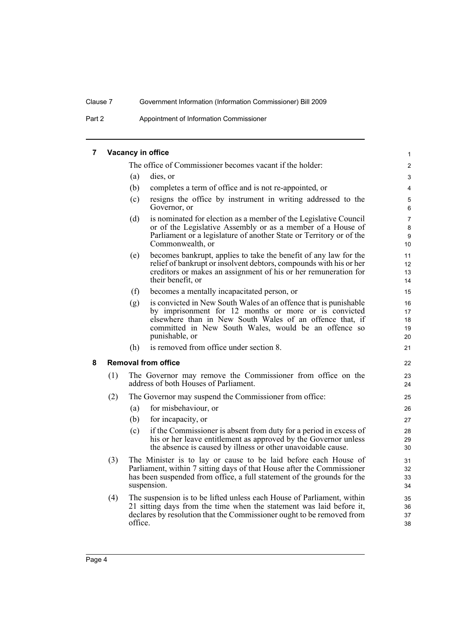Part 2 Appointment of Information Commissioner

#### <span id="page-13-0"></span>**7 Vacancy in office** The office of Commissioner becomes vacant if the holder: (a) dies, or (b) completes a term of office and is not re-appointed, or (c) resigns the office by instrument in writing addressed to the Governor, or (d) is nominated for election as a member of the Legislative Council or of the Legislative Assembly or as a member of a House of Parliament or a legislature of another State or Territory or of the Commonwealth, or (e) becomes bankrupt, applies to take the benefit of any law for the relief of bankrupt or insolvent debtors, compounds with his or her creditors or makes an assignment of his or her remuneration for their benefit, or (f) becomes a mentally incapacitated person, or (g) is convicted in New South Wales of an offence that is punishable by imprisonment for 12 months or more or is convicted elsewhere than in New South Wales of an offence that, if committed in New South Wales, would be an offence so punishable, or (h) is removed from office under section 8. **8 Removal from office** (1) The Governor may remove the Commissioner from office on the address of both Houses of Parliament. (2) The Governor may suspend the Commissioner from office: (a) for misbehaviour, or (b) for incapacity, or (c) if the Commissioner is absent from duty for a period in excess of his or her leave entitlement as approved by the Governor unless the absence is caused by illness or other unavoidable cause. (3) The Minister is to lay or cause to be laid before each House of Parliament, within 7 sitting days of that House after the Commissioner has been suspended from office, a full statement of the grounds for the suspension. (4) The suspension is to be lifted unless each House of Parliament, within 21 sitting days from the time when the statement was laid before it, declares by resolution that the Commissioner ought to be removed from 1 2 3 4 5 6 7 8 9 10 11 12 13 14 15 16 17 18 19  $20$ 21 22 23 24 25 26 27 28 29 30 31 32 33 34 35 36 37

38

<span id="page-13-1"></span>office.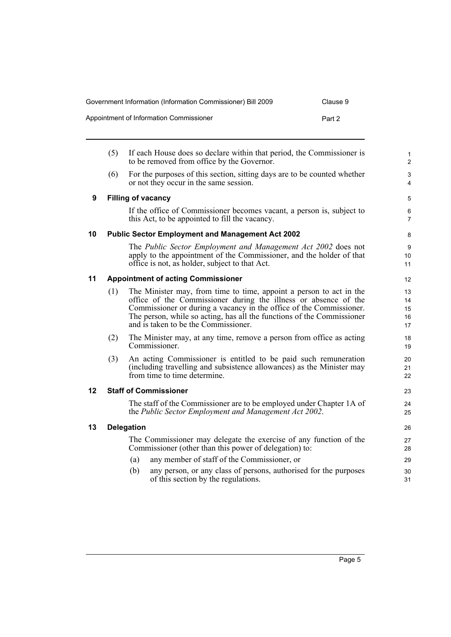| Government Information (Information Commissioner) Bill 2009 | Clause 9 |
|-------------------------------------------------------------|----------|
| Appointment of Information Commissioner                     | Part 2   |

<span id="page-14-4"></span><span id="page-14-3"></span><span id="page-14-2"></span><span id="page-14-1"></span><span id="page-14-0"></span>

|    | (5) | If each House does so declare within that period, the Commissioner is<br>to be removed from office by the Governor.                                                                                                                                                                                                             | $\mathbf{1}$<br>$\overline{c}$ |
|----|-----|---------------------------------------------------------------------------------------------------------------------------------------------------------------------------------------------------------------------------------------------------------------------------------------------------------------------------------|--------------------------------|
|    | (6) | For the purposes of this section, sitting days are to be counted whether<br>or not they occur in the same session.                                                                                                                                                                                                              | 3<br>$\overline{4}$            |
| 9  |     | <b>Filling of vacancy</b>                                                                                                                                                                                                                                                                                                       | 5                              |
|    |     | If the office of Commissioner becomes vacant, a person is, subject to<br>this Act, to be appointed to fill the vacancy.                                                                                                                                                                                                         | 6<br>$\overline{7}$            |
| 10 |     | <b>Public Sector Employment and Management Act 2002</b>                                                                                                                                                                                                                                                                         | 8                              |
|    |     | The Public Sector Employment and Management Act 2002 does not<br>apply to the appointment of the Commissioner, and the holder of that<br>office is not, as holder, subject to that Act.                                                                                                                                         | 9<br>10<br>11                  |
| 11 |     | <b>Appointment of acting Commissioner</b>                                                                                                                                                                                                                                                                                       | 12                             |
|    | (1) | The Minister may, from time to time, appoint a person to act in the<br>office of the Commissioner during the illness or absence of the<br>Commissioner or during a vacancy in the office of the Commissioner.<br>The person, while so acting, has all the functions of the Commissioner<br>and is taken to be the Commissioner. | 13<br>14<br>15<br>16<br>17     |
|    | (2) | The Minister may, at any time, remove a person from office as acting<br>Commissioner.                                                                                                                                                                                                                                           | 18<br>19                       |
|    | (3) | An acting Commissioner is entitled to be paid such remuneration<br>(including travelling and subsistence allowances) as the Minister may<br>from time to time determine.                                                                                                                                                        | 20<br>21<br>22                 |
| 12 |     | <b>Staff of Commissioner</b>                                                                                                                                                                                                                                                                                                    | 23                             |
|    |     | The staff of the Commissioner are to be employed under Chapter 1A of<br>the Public Sector Employment and Management Act 2002.                                                                                                                                                                                                   | 24<br>25                       |
| 13 |     | <b>Delegation</b>                                                                                                                                                                                                                                                                                                               | 26                             |
|    |     | The Commissioner may delegate the exercise of any function of the<br>Commissioner (other than this power of delegation) to:                                                                                                                                                                                                     | 27<br>28                       |
|    |     | any member of staff of the Commissioner, or<br>(a)                                                                                                                                                                                                                                                                              | 29                             |
|    |     | any person, or any class of persons, authorised for the purposes<br>(b)<br>of this section by the regulations.                                                                                                                                                                                                                  | 30<br>31                       |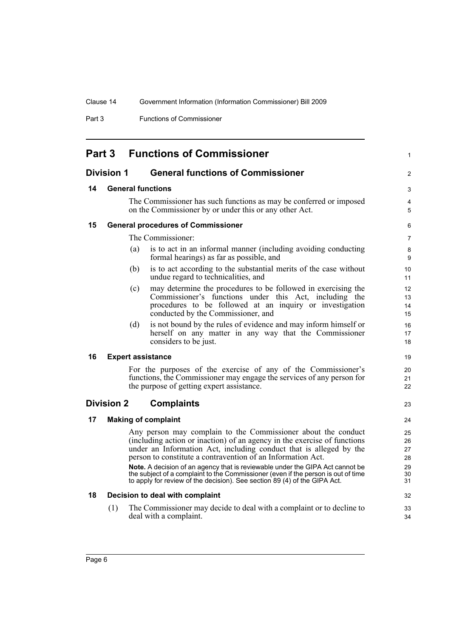Part 3 Functions of Commissioner

<span id="page-15-7"></span><span id="page-15-6"></span><span id="page-15-5"></span><span id="page-15-4"></span><span id="page-15-3"></span><span id="page-15-2"></span><span id="page-15-1"></span><span id="page-15-0"></span>

|                   | Part 3                   |     | <b>Functions of Commissioner</b>                                                                                                                                                                                                                                                                                                                                | $\mathbf{1}$               |
|-------------------|--------------------------|-----|-----------------------------------------------------------------------------------------------------------------------------------------------------------------------------------------------------------------------------------------------------------------------------------------------------------------------------------------------------------------|----------------------------|
| <b>Division 1</b> |                          |     | <b>General functions of Commissioner</b>                                                                                                                                                                                                                                                                                                                        | $\overline{2}$             |
| 14                | <b>General functions</b> |     |                                                                                                                                                                                                                                                                                                                                                                 |                            |
|                   |                          |     | The Commissioner has such functions as may be conferred or imposed<br>on the Commissioner by or under this or any other Act.                                                                                                                                                                                                                                    | 4<br>5                     |
| 15                |                          |     | <b>General procedures of Commissioner</b>                                                                                                                                                                                                                                                                                                                       | 6                          |
|                   |                          |     | The Commissioner:                                                                                                                                                                                                                                                                                                                                               | $\overline{7}$             |
|                   |                          | (a) | is to act in an informal manner (including avoiding conducting<br>formal hearings) as far as possible, and                                                                                                                                                                                                                                                      | 8<br>9                     |
|                   |                          | (b) | is to act according to the substantial merits of the case without<br>undue regard to technicalities, and                                                                                                                                                                                                                                                        | 10<br>11                   |
|                   |                          | (c) | may determine the procedures to be followed in exercising the<br>Commissioner's functions under this Act, including the<br>procedures to be followed at an inquiry or investigation<br>conducted by the Commissioner, and                                                                                                                                       | 12<br>13<br>14<br>15       |
|                   |                          | (d) | is not bound by the rules of evidence and may inform himself or<br>herself on any matter in any way that the Commissioner<br>considers to be just.                                                                                                                                                                                                              | 16<br>17<br>18             |
| 16                |                          |     | <b>Expert assistance</b>                                                                                                                                                                                                                                                                                                                                        | 19                         |
|                   |                          |     | For the purposes of the exercise of any of the Commissioner's<br>functions, the Commissioner may engage the services of any person for<br>the purpose of getting expert assistance.                                                                                                                                                                             | 20<br>21<br>22             |
|                   | <b>Division 2</b>        |     | <b>Complaints</b>                                                                                                                                                                                                                                                                                                                                               | 23                         |
| 17                |                          |     | <b>Making of complaint</b>                                                                                                                                                                                                                                                                                                                                      | 24                         |
|                   |                          |     | Any person may complain to the Commissioner about the conduct<br>(including action or inaction) of an agency in the exercise of functions<br>under an Information Act, including conduct that is alleged by the<br>person to constitute a contravention of an Information Act.<br>Note. A decision of an agency that is reviewable under the GIPA Act cannot be | 25<br>26<br>27<br>28<br>29 |
|                   |                          |     | the subject of a complaint to the Commissioner (even if the person is out of time<br>to apply for review of the decision). See section 89 (4) of the GIPA Act.                                                                                                                                                                                                  | 30<br>31                   |
| 18                |                          |     | Decision to deal with complaint                                                                                                                                                                                                                                                                                                                                 | 32                         |
|                   | (1)                      |     | The Commissioner may decide to deal with a complaint or to decline to<br>deal with a complaint.                                                                                                                                                                                                                                                                 | 33<br>34                   |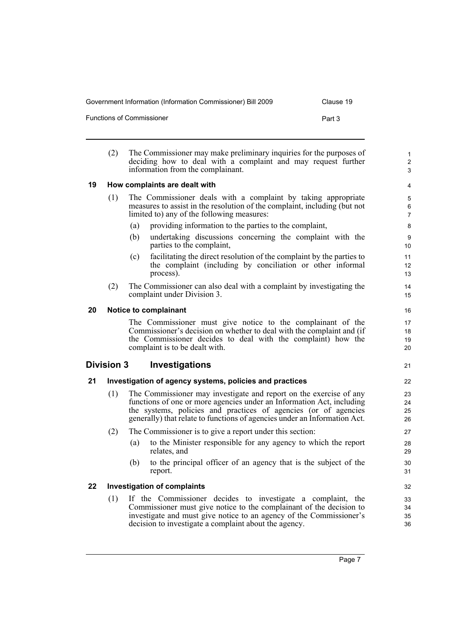Government Information (Information Commissioner) Bill 2009 Clause 19

Functions of Commissioner **Part 3** 

<span id="page-16-1"></span><span id="page-16-0"></span>(2) The Commissioner may make preliminary inquiries for the purposes of deciding how to deal with a complaint and may request further information from the complainant. **19 How complaints are dealt with** (1) The Commissioner deals with a complaint by taking appropriate measures to assist in the resolution of the complaint, including (but not limited to) any of the following measures: (a) providing information to the parties to the complaint, (b) undertaking discussions concerning the complaint with the parties to the complaint, (c) facilitating the direct resolution of the complaint by the parties to the complaint (including by conciliation or other informal process). (2) The Commissioner can also deal with a complaint by investigating the complaint under Division 3. **20 Notice to complainant** The Commissioner must give notice to the complainant of the Commissioner's decision on whether to deal with the complaint and (if the Commissioner decides to deal with the complaint) how the complaint is to be dealt with. **Division 3 Investigations 21 Investigation of agency systems, policies and practices** (1) The Commissioner may investigate and report on the exercise of any functions of one or more agencies under an Information Act, including the systems, policies and practices of agencies (or of agencies generally) that relate to functions of agencies under an Information Act. (2) The Commissioner is to give a report under this section: (a) to the Minister responsible for any agency to which the report relates, and (b) to the principal officer of an agency that is the subject of the report. **22 Investigation of complaints** (1) If the Commissioner decides to investigate a complaint, the Commissioner must give notice to the complainant of the decision to investigate and must give notice to an agency of the Commissioner's 1  $\overline{2}$ 3 4 5 6 7 8 9 10 11 12 13 14 15 16 17 18 19 20 22 23  $24$ 25 26 27 28 29 30 31 32 33 34 35

<span id="page-16-4"></span><span id="page-16-3"></span><span id="page-16-2"></span>decision to investigate a complaint about the agency.

21

36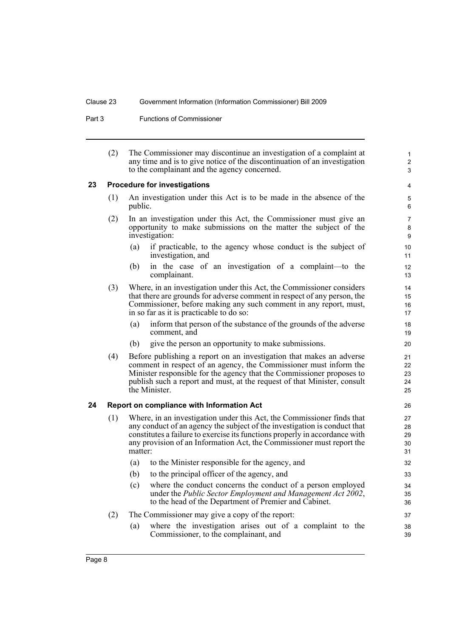Part 3 Functions of Commissioner

| (2) | The Commissioner may discontinue an investigation of a complaint at       |
|-----|---------------------------------------------------------------------------|
|     | any time and is to give notice of the discontinuation of an investigation |
|     | to the complainant and the agency concerned.                              |

1 2 3

#### <span id="page-17-0"></span>**23 Procedure for investigations**

- (1) An investigation under this Act is to be made in the absence of the public.
- (2) In an investigation under this Act, the Commissioner must give an opportunity to make submissions on the matter the subject of the investigation:
	- (a) if practicable, to the agency whose conduct is the subject of investigation, and
	- (b) in the case of an investigation of a complaint—to the complainant.
- (3) Where, in an investigation under this Act, the Commissioner considers that there are grounds for adverse comment in respect of any person, the Commissioner, before making any such comment in any report, must, in so far as it is practicable to do so:
	- (a) inform that person of the substance of the grounds of the adverse comment, and
	- (b) give the person an opportunity to make submissions.
- (4) Before publishing a report on an investigation that makes an adverse comment in respect of an agency, the Commissioner must inform the Minister responsible for the agency that the Commissioner proposes to publish such a report and must, at the request of that Minister, consult the Minister.

#### <span id="page-17-1"></span>**24 Report on compliance with Information Act**

- (1) Where, in an investigation under this Act, the Commissioner finds that any conduct of an agency the subject of the investigation is conduct that constitutes a failure to exercise its functions properly in accordance with any provision of an Information Act, the Commissioner must report the matter:
	- (a) to the Minister responsible for the agency, and (b) to the principal officer of the agency, and
	- (c) where the conduct concerns the conduct of a person employed under the *Public Sector Employment and Management Act 2002*, to the head of the Department of Premier and Cabinet.
- (2) The Commissioner may give a copy of the report:
	- (a) where the investigation arises out of a complaint to the Commissioner, to the complainant, and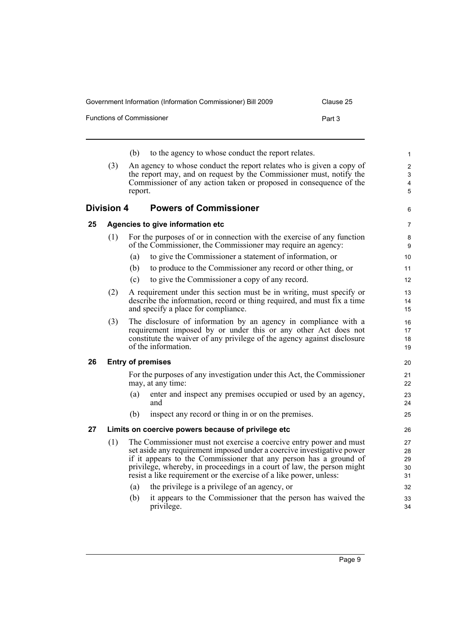Government Information (Information Commissioner) Bill 2009 Clause 25 Functions of Commissioner **Part 3** 

<span id="page-18-3"></span><span id="page-18-2"></span><span id="page-18-1"></span><span id="page-18-0"></span>

|    |                   | (b)     | to the agency to whose conduct the report relates.                                                                                     | 1              |
|----|-------------------|---------|----------------------------------------------------------------------------------------------------------------------------------------|----------------|
|    | (3)               |         | An agency to whose conduct the report relates who is given a copy of                                                                   | $\overline{2}$ |
|    |                   |         | the report may, and on request by the Commissioner must, notify the                                                                    | 3              |
|    |                   |         | Commissioner of any action taken or proposed in consequence of the                                                                     | 4              |
|    |                   | report. |                                                                                                                                        | 5              |
|    | <b>Division 4</b> |         | <b>Powers of Commissioner</b>                                                                                                          | 6              |
| 25 |                   |         | Agencies to give information etc                                                                                                       | $\overline{7}$ |
|    | (1)               |         | For the purposes of or in connection with the exercise of any function<br>of the Commissioner, the Commissioner may require an agency: | 8<br>9         |
|    |                   | (a)     | to give the Commissioner a statement of information, or                                                                                | 10             |
|    |                   | (b)     | to produce to the Commissioner any record or other thing, or                                                                           | 11             |
|    |                   | (c)     | to give the Commissioner a copy of any record.                                                                                         | 12             |
|    | (2)               |         | A requirement under this section must be in writing, must specify or                                                                   | 13             |
|    |                   |         | describe the information, record or thing required, and must fix a time                                                                | 14             |
|    |                   |         | and specify a place for compliance.                                                                                                    | 15             |
|    | (3)               |         | The disclosure of information by an agency in compliance with a                                                                        | 16             |
|    |                   |         | requirement imposed by or under this or any other Act does not                                                                         | 17             |
|    |                   |         | constitute the waiver of any privilege of the agency against disclosure                                                                | 18             |
|    |                   |         | of the information.                                                                                                                    | 19             |
| 26 |                   |         | <b>Entry of premises</b>                                                                                                               | 20             |
|    |                   |         | For the purposes of any investigation under this Act, the Commissioner<br>may, at any time:                                            | 21<br>22       |
|    |                   | (a)     | enter and inspect any premises occupied or used by an agency,<br>and                                                                   | 23<br>24       |
|    |                   | (b)     | inspect any record or thing in or on the premises.                                                                                     | 25             |
| 27 |                   |         | Limits on coercive powers because of privilege etc                                                                                     | 26             |
|    | (1)               |         | The Commissioner must not exercise a coercive entry power and must                                                                     | 27             |
|    |                   |         | set aside any requirement imposed under a coercive investigative power                                                                 | 28             |
|    |                   |         | if it appears to the Commissioner that any person has a ground of                                                                      | 29             |
|    |                   |         | privilege, whereby, in proceedings in a court of law, the person might                                                                 | 30             |
|    |                   |         | resist a like requirement or the exercise of a like power, unless:                                                                     | 31             |
|    |                   | (a)     | the privilege is a privilege of an agency, or                                                                                          | 32             |
|    |                   | (b)     | it appears to the Commissioner that the person has waived the<br>privilege.                                                            | 33<br>34       |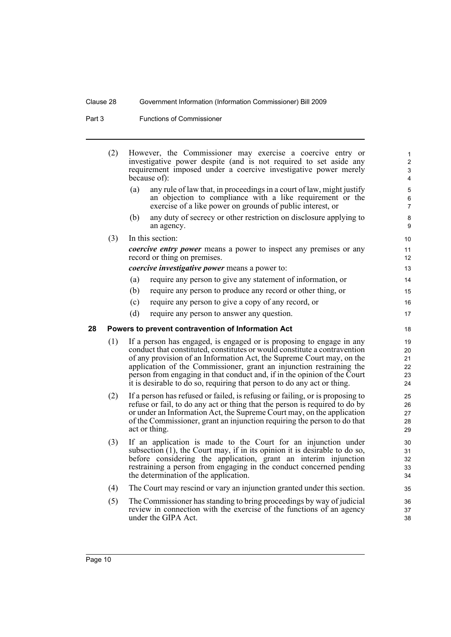Part 3 Functions of Commissioner

<span id="page-19-0"></span>

| (2) | However, the Commissioner may exercise a coercive entry or<br>investigative power despite (and is not required to set aside any<br>requirement imposed under a coercive investigative power merely<br>because of):                                                                                                                                                                                                                                        | $\mathbf{1}$<br>$\overline{2}$<br>$\mathfrak{S}$<br>4 |
|-----|-----------------------------------------------------------------------------------------------------------------------------------------------------------------------------------------------------------------------------------------------------------------------------------------------------------------------------------------------------------------------------------------------------------------------------------------------------------|-------------------------------------------------------|
|     | (a)<br>any rule of law that, in proceedings in a court of law, might justify<br>an objection to compliance with a like requirement or the<br>exercise of a like power on grounds of public interest, or                                                                                                                                                                                                                                                   | $\mathbf 5$<br>6<br>$\overline{7}$                    |
|     | any duty of secrecy or other restriction on disclosure applying to<br>(b)<br>an agency.                                                                                                                                                                                                                                                                                                                                                                   | 8<br>9                                                |
| (3) | In this section:                                                                                                                                                                                                                                                                                                                                                                                                                                          | 10                                                    |
|     | <i>coercive entry power</i> means a power to inspect any premises or any<br>record or thing on premises.                                                                                                                                                                                                                                                                                                                                                  | 11<br>12                                              |
|     | <i>coercive investigative power</i> means a power to:                                                                                                                                                                                                                                                                                                                                                                                                     | 13                                                    |
|     | require any person to give any statement of information, or<br>(a)                                                                                                                                                                                                                                                                                                                                                                                        | 14                                                    |
|     | require any person to produce any record or other thing, or<br>(b)                                                                                                                                                                                                                                                                                                                                                                                        | 15                                                    |
|     | require any person to give a copy of any record, or<br>(c)                                                                                                                                                                                                                                                                                                                                                                                                | 16                                                    |
|     | (d)<br>require any person to answer any question.                                                                                                                                                                                                                                                                                                                                                                                                         | 17                                                    |
|     |                                                                                                                                                                                                                                                                                                                                                                                                                                                           | 18                                                    |
| (1) | If a person has engaged, is engaged or is proposing to engage in any<br>conduct that constituted, constitutes or would constitute a contravention<br>of any provision of an Information Act, the Supreme Court may, on the<br>application of the Commissioner, grant an injunction restraining the<br>person from engaging in that conduct and, if in the opinion of the Court<br>it is desirable to do so, requiring that person to do any act or thing. | 19<br>20<br>21<br>22<br>23<br>24                      |
| (2) | If a person has refused or failed, is refusing or failing, or is proposing to<br>refuse or fail, to do any act or thing that the person is required to do by<br>or under an Information Act, the Supreme Court may, on the application<br>of the Commissioner, grant an injunction requiring the person to do that<br>act or thing.                                                                                                                       | 25<br>26<br>27<br>28<br>29                            |
| (3) | If an application is made to the Court for an injunction under<br>subsection $(1)$ , the Court may, if in its opinion it is desirable to do so,<br>before considering the application, grant an interim injunction<br>restraining a person from engaging in the conduct concerned pending<br>the determination of the application.                                                                                                                        | 30<br>31<br>32<br>33<br>34                            |
| (4) | The Court may rescind or vary an injunction granted under this section.                                                                                                                                                                                                                                                                                                                                                                                   | 35                                                    |
| (5) | The Commissioner has standing to bring proceedings by way of judicial<br>review in connection with the exercise of the functions of an agency<br>under the GIPA Act.                                                                                                                                                                                                                                                                                      | 36<br>37<br>38                                        |
|     |                                                                                                                                                                                                                                                                                                                                                                                                                                                           | Powers to prevent contravention of Information Act    |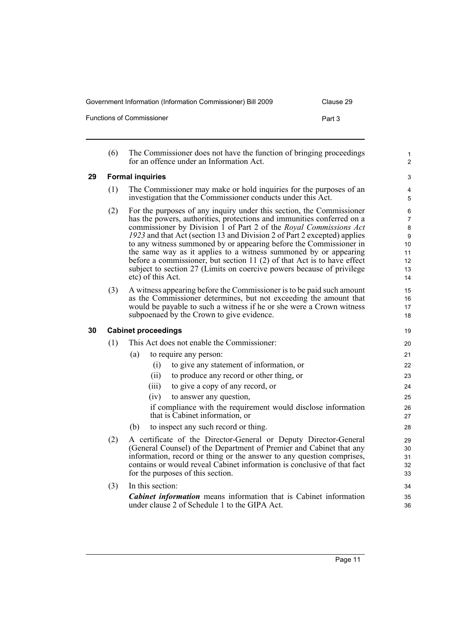Government Information (Information Commissioner) Bill 2009 Clause 29 Functions of Commissioner **Part 3** 

<span id="page-20-1"></span><span id="page-20-0"></span>

|    | (6) | The Commissioner does not have the function of bringing proceedings<br>for an offence under an Information Act.                                                                                                                                                                                                                                                                                                                                                                                                                                                                                                    | 1<br>$\overline{c}$                                         |
|----|-----|--------------------------------------------------------------------------------------------------------------------------------------------------------------------------------------------------------------------------------------------------------------------------------------------------------------------------------------------------------------------------------------------------------------------------------------------------------------------------------------------------------------------------------------------------------------------------------------------------------------------|-------------------------------------------------------------|
| 29 |     | <b>Formal inquiries</b>                                                                                                                                                                                                                                                                                                                                                                                                                                                                                                                                                                                            | 3                                                           |
|    | (1) | The Commissioner may make or hold inquiries for the purposes of an<br>investigation that the Commissioner conducts under this Act.                                                                                                                                                                                                                                                                                                                                                                                                                                                                                 | 4<br>5                                                      |
|    | (2) | For the purposes of any inquiry under this section, the Commissioner<br>has the powers, authorities, protections and immunities conferred on a<br>commissioner by Division 1 of Part 2 of the Royal Commissions Act<br>1923 and that Act (section 13 and Division 2 of Part 2 excepted) applies<br>to any witness summoned by or appearing before the Commissioner in<br>the same way as it applies to a witness summoned by or appearing<br>before a commissioner, but section 11 (2) of that Act is to have effect<br>subject to section 27 (Limits on coercive powers because of privilege<br>etc) of this Act. | 6<br>$\overline{7}$<br>8<br>9<br>10<br>11<br>12<br>13<br>14 |
|    | (3) | A witness appearing before the Commissioner is to be paid such amount<br>as the Commissioner determines, but not exceeding the amount that<br>would be payable to such a witness if he or she were a Crown witness<br>subpoenaed by the Crown to give evidence.                                                                                                                                                                                                                                                                                                                                                    | 15<br>16<br>17<br>18                                        |
| 30 |     | <b>Cabinet proceedings</b>                                                                                                                                                                                                                                                                                                                                                                                                                                                                                                                                                                                         | 19                                                          |
|    | (1) | This Act does not enable the Commissioner:                                                                                                                                                                                                                                                                                                                                                                                                                                                                                                                                                                         | 20                                                          |
|    |     | (a)<br>to require any person:                                                                                                                                                                                                                                                                                                                                                                                                                                                                                                                                                                                      | 21                                                          |
|    |     | to give any statement of information, or<br>(i)                                                                                                                                                                                                                                                                                                                                                                                                                                                                                                                                                                    | 22                                                          |
|    |     | to produce any record or other thing, or<br>(ii)                                                                                                                                                                                                                                                                                                                                                                                                                                                                                                                                                                   | 23                                                          |
|    |     | to give a copy of any record, or<br>(iii)                                                                                                                                                                                                                                                                                                                                                                                                                                                                                                                                                                          | 24                                                          |
|    |     | (iv)<br>to answer any question,                                                                                                                                                                                                                                                                                                                                                                                                                                                                                                                                                                                    | 25                                                          |
|    |     | if compliance with the requirement would disclose information<br>that is Cabinet information, or                                                                                                                                                                                                                                                                                                                                                                                                                                                                                                                   | 26<br>27                                                    |
|    |     | (b)<br>to inspect any such record or thing.                                                                                                                                                                                                                                                                                                                                                                                                                                                                                                                                                                        | 28                                                          |
|    | (2) | A certificate of the Director-General or Deputy Director-General<br>(General Counsel) of the Department of Premier and Cabinet that any<br>information, record or thing or the answer to any question comprises,<br>contains or would reveal Cabinet information is conclusive of that fact<br>for the purposes of this section.                                                                                                                                                                                                                                                                                   | 29<br>30<br>31<br>32<br>33                                  |
|    | (3) | In this section:                                                                                                                                                                                                                                                                                                                                                                                                                                                                                                                                                                                                   | 34                                                          |
|    |     | <b>Cabinet information</b> means information that is Cabinet information<br>under clause 2 of Schedule 1 to the GIPA Act.                                                                                                                                                                                                                                                                                                                                                                                                                                                                                          | 35<br>36                                                    |
|    |     |                                                                                                                                                                                                                                                                                                                                                                                                                                                                                                                                                                                                                    |                                                             |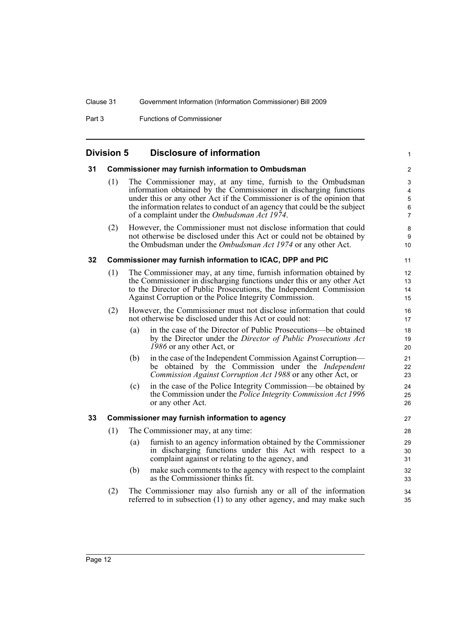Part 3 Functions of Commissioner

## <span id="page-21-1"></span><span id="page-21-0"></span>**Division 5 Disclosure of information**

<span id="page-21-3"></span><span id="page-21-2"></span>

| 31 |     |     | <b>Commissioner may furnish information to Ombudsman</b>                                                                                                                                                                                                                                                                                | $\overline{\mathbf{c}}$                            |
|----|-----|-----|-----------------------------------------------------------------------------------------------------------------------------------------------------------------------------------------------------------------------------------------------------------------------------------------------------------------------------------------|----------------------------------------------------|
|    | (1) |     | The Commissioner may, at any time, furnish to the Ombudsman<br>information obtained by the Commissioner in discharging functions<br>under this or any other Act if the Commissioner is of the opinion that<br>the information relates to conduct of an agency that could be the subject<br>of a complaint under the Ombudsman Act 1974. | 3<br>4<br>$\mathbf 5$<br>$\,6\,$<br>$\overline{7}$ |
|    | (2) |     | However, the Commissioner must not disclose information that could<br>not otherwise be disclosed under this Act or could not be obtained by<br>the Ombudsman under the <i>Ombudsman Act 1974</i> or any other Act.                                                                                                                      | 8<br>$\boldsymbol{9}$<br>10                        |
| 32 |     |     | Commissioner may furnish information to ICAC, DPP and PIC                                                                                                                                                                                                                                                                               | 11                                                 |
|    | (1) |     | The Commissioner may, at any time, furnish information obtained by<br>the Commissioner in discharging functions under this or any other Act<br>to the Director of Public Prosecutions, the Independent Commission<br>Against Corruption or the Police Integrity Commission.                                                             | 12<br>13<br>14<br>15                               |
|    | (2) |     | However, the Commissioner must not disclose information that could<br>not otherwise be disclosed under this Act or could not:                                                                                                                                                                                                           | 16<br>17                                           |
|    |     | (a) | in the case of the Director of Public Prosecutions—be obtained<br>by the Director under the Director of Public Prosecutions Act<br>1986 or any other Act, or                                                                                                                                                                            | 18<br>19<br>20                                     |
|    |     | (b) | in the case of the Independent Commission Against Corruption—<br>be obtained by the Commission under the <i>Independent</i><br>Commission Against Corruption Act 1988 or any other Act, or                                                                                                                                              | 21<br>22<br>23                                     |
|    |     | (c) | in the case of the Police Integrity Commission—be obtained by<br>the Commission under the Police Integrity Commission Act 1996<br>or any other Act.                                                                                                                                                                                     | 24<br>25<br>26                                     |
| 33 |     |     | Commissioner may furnish information to agency                                                                                                                                                                                                                                                                                          | 27                                                 |
|    | (1) |     | The Commissioner may, at any time:                                                                                                                                                                                                                                                                                                      | 28                                                 |
|    |     | (a) | furnish to an agency information obtained by the Commissioner<br>in discharging functions under this Act with respect to a<br>complaint against or relating to the agency, and                                                                                                                                                          | 29<br>30<br>31                                     |
|    |     | (b) | make such comments to the agency with respect to the complaint<br>as the Commissioner thinks fit.                                                                                                                                                                                                                                       | 32<br>33                                           |
|    | (2) |     | The Commissioner may also furnish any or all of the information<br>referred to in subsection (1) to any other agency, and may make such                                                                                                                                                                                                 | 34<br>35                                           |
|    |     |     |                                                                                                                                                                                                                                                                                                                                         |                                                    |

1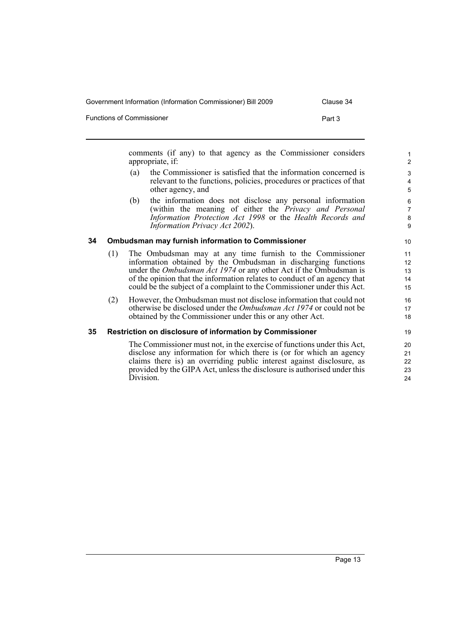Government Information (Information Commissioner) Bill 2009 Clause 34

Functions of Commissioner **Part 3** 

comments (if any) to that agency as the Commissioner considers appropriate, if:

- (a) the Commissioner is satisfied that the information concerned is relevant to the functions, policies, procedures or practices of that other agency, and
- (b) the information does not disclose any personal information (within the meaning of either the *Privacy and Personal Information Protection Act 1998* or the *Health Records and Information Privacy Act 2002*).

#### <span id="page-22-0"></span>**34 Ombudsman may furnish information to Commissioner**

- (1) The Ombudsman may at any time furnish to the Commissioner information obtained by the Ombudsman in discharging functions under the *Ombudsman Act 1974* or any other Act if the Ombudsman is of the opinion that the information relates to conduct of an agency that could be the subject of a complaint to the Commissioner under this Act.
- (2) However, the Ombudsman must not disclose information that could not otherwise be disclosed under the *Ombudsman Act 1974* or could not be obtained by the Commissioner under this or any other Act.

#### <span id="page-22-1"></span>**35 Restriction on disclosure of information by Commissioner**

The Commissioner must not, in the exercise of functions under this Act, disclose any information for which there is (or for which an agency claims there is) an overriding public interest against disclosure, as provided by the GIPA Act, unless the disclosure is authorised under this Division.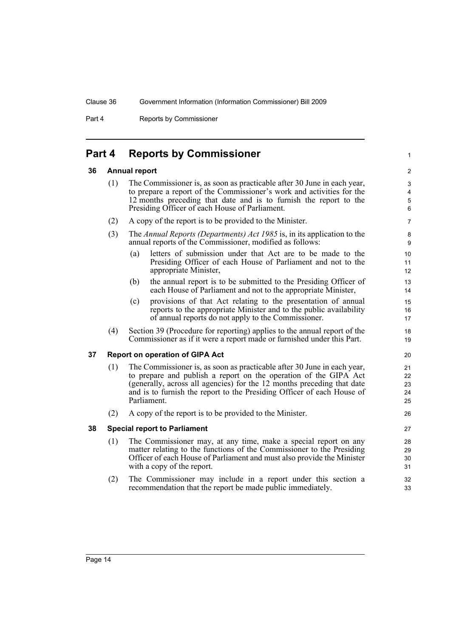Part 4 Reports by Commissioner

## <span id="page-23-0"></span>**Part 4 Reports by Commissioner**

#### <span id="page-23-1"></span>**36 Annual report**

(1) The Commissioner is, as soon as practicable after 30 June in each year, to prepare a report of the Commissioner's work and activities for the 12 months preceding that date and is to furnish the report to the Presiding Officer of each House of Parliament.

1

- (2) A copy of the report is to be provided to the Minister.
- (3) The *Annual Reports (Departments) Act 1985* is, in its application to the annual reports of the Commissioner, modified as follows:
	- (a) letters of submission under that Act are to be made to the Presiding Officer of each House of Parliament and not to the appropriate Minister,
	- (b) the annual report is to be submitted to the Presiding Officer of each House of Parliament and not to the appropriate Minister,
	- (c) provisions of that Act relating to the presentation of annual reports to the appropriate Minister and to the public availability of annual reports do not apply to the Commissioner.
- (4) Section 39 (Procedure for reporting) applies to the annual report of the Commissioner as if it were a report made or furnished under this Part.

### <span id="page-23-2"></span>**37 Report on operation of GIPA Act**

- (1) The Commissioner is, as soon as practicable after 30 June in each year, to prepare and publish a report on the operation of the GIPA Act (generally, across all agencies) for the 12 months preceding that date and is to furnish the report to the Presiding Officer of each House of Parliament.
- (2) A copy of the report is to be provided to the Minister.

#### <span id="page-23-3"></span>**38 Special report to Parliament**

- (1) The Commissioner may, at any time, make a special report on any matter relating to the functions of the Commissioner to the Presiding Officer of each House of Parliament and must also provide the Minister with a copy of the report.
- (2) The Commissioner may include in a report under this section a recommendation that the report be made public immediately.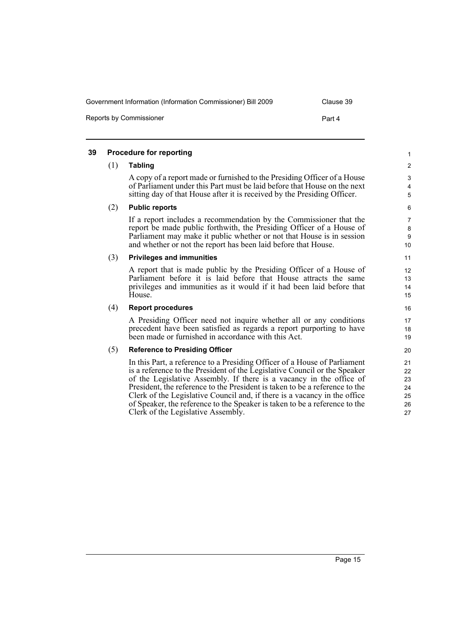| Government Information (Information Commissioner) Bill 2009 | Clause 39 |
|-------------------------------------------------------------|-----------|
| Reports by Commissioner                                     | Part 4    |

#### <span id="page-24-0"></span>**39 Procedure for reporting**

#### (1) **Tabling**

A copy of a report made or furnished to the Presiding Officer of a House of Parliament under this Part must be laid before that House on the next sitting day of that House after it is received by the Presiding Officer.

#### (2) **Public reports**

If a report includes a recommendation by the Commissioner that the report be made public forthwith, the Presiding Officer of a House of Parliament may make it public whether or not that House is in session and whether or not the report has been laid before that House.

#### (3) **Privileges and immunities**

A report that is made public by the Presiding Officer of a House of Parliament before it is laid before that House attracts the same privileges and immunities as it would if it had been laid before that House.

#### (4) **Report procedures**

A Presiding Officer need not inquire whether all or any conditions precedent have been satisfied as regards a report purporting to have been made or furnished in accordance with this Act.

#### (5) **Reference to Presiding Officer**

In this Part, a reference to a Presiding Officer of a House of Parliament is a reference to the President of the Legislative Council or the Speaker of the Legislative Assembly. If there is a vacancy in the office of President, the reference to the President is taken to be a reference to the Clerk of the Legislative Council and, if there is a vacancy in the office of Speaker, the reference to the Speaker is taken to be a reference to the Clerk of the Legislative Assembly.

25 26 27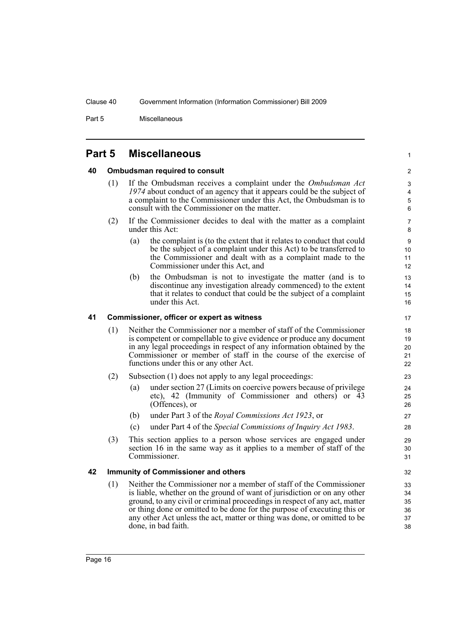Part 5 Miscellaneous

## <span id="page-25-0"></span>**Part 5 Miscellaneous**

#### <span id="page-25-1"></span>**40 Ombudsman required to consult**

- (1) If the Ombudsman receives a complaint under the *Ombudsman Act 1974* about conduct of an agency that it appears could be the subject of a complaint to the Commissioner under this Act, the Ombudsman is to consult with the Commissioner on the matter.
- (2) If the Commissioner decides to deal with the matter as a complaint under this Act:
	- (a) the complaint is (to the extent that it relates to conduct that could be the subject of a complaint under this Act) to be transferred to the Commissioner and dealt with as a complaint made to the Commissioner under this Act, and

1

(b) the Ombudsman is not to investigate the matter (and is to discontinue any investigation already commenced) to the extent that it relates to conduct that could be the subject of a complaint under this Act.

#### <span id="page-25-2"></span>**41 Commissioner, officer or expert as witness**

- (1) Neither the Commissioner nor a member of staff of the Commissioner is competent or compellable to give evidence or produce any document in any legal proceedings in respect of any information obtained by the Commissioner or member of staff in the course of the exercise of functions under this or any other Act.
- (2) Subsection (1) does not apply to any legal proceedings:
	- (a) under section 27 (Limits on coercive powers because of privilege etc), 42 (Immunity of Commissioner and others) or  $\overline{43}$ (Offences), or
	- (b) under Part 3 of the *Royal Commissions Act 1923*, or
	- (c) under Part 4 of the *Special Commissions of Inquiry Act 1983*.
- (3) This section applies to a person whose services are engaged under section 16 in the same way as it applies to a member of staff of the Commissioner.

#### <span id="page-25-3"></span>**42 Immunity of Commissioner and others**

(1) Neither the Commissioner nor a member of staff of the Commissioner is liable, whether on the ground of want of jurisdiction or on any other ground, to any civil or criminal proceedings in respect of any act, matter or thing done or omitted to be done for the purpose of executing this or any other Act unless the act, matter or thing was done, or omitted to be done, in bad faith.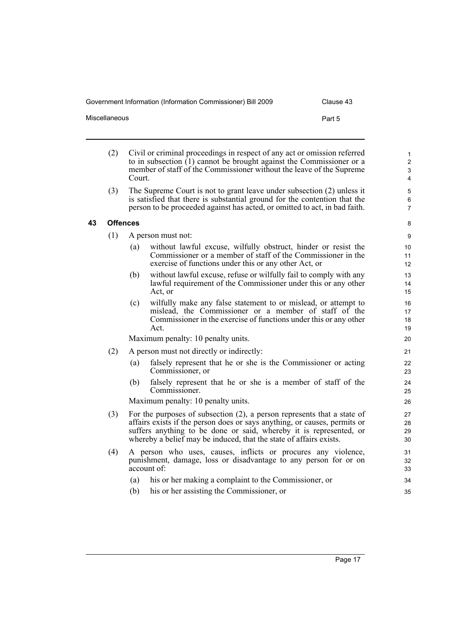Government Information (Information Commissioner) Bill 2009 Clause 43

| Miscellaneous | Part 5 |
|---------------|--------|
|               |        |

| (2) | Civil or criminal proceedings in respect of any act or omission referred |
|-----|--------------------------------------------------------------------------|
|     | to in subsection $(1)$ cannot be brought against the Commissioner or a   |
|     | member of staff of the Commissioner without the leave of the Supreme     |
|     | Court.                                                                   |

(3) The Supreme Court is not to grant leave under subsection (2) unless it is satisfied that there is substantial ground for the contention that the person to be proceeded against has acted, or omitted to act, in bad faith.

#### <span id="page-26-0"></span>**43 Offences**

- (1) A person must not:
	- (a) without lawful excuse, wilfully obstruct, hinder or resist the Commissioner or a member of staff of the Commissioner in the exercise of functions under this or any other Act, or
	- (b) without lawful excuse, refuse or wilfully fail to comply with any lawful requirement of the Commissioner under this or any other Act, or
	- (c) wilfully make any false statement to or mislead, or attempt to mislead, the Commissioner or a member of staff of the Commissioner in the exercise of functions under this or any other Act.

Maximum penalty: 10 penalty units.

- (2) A person must not directly or indirectly:
	- (a) falsely represent that he or she is the Commissioner or acting Commissioner, or
	- (b) falsely represent that he or she is a member of staff of the Commissioner.

Maximum penalty: 10 penalty units.

- (3) For the purposes of subsection (2), a person represents that a state of affairs exists if the person does or says anything, or causes, permits or suffers anything to be done or said, whereby it is represented, or whereby a belief may be induced, that the state of affairs exists.
- (4) A person who uses, causes, inflicts or procures any violence, punishment, damage, loss or disadvantage to any person for or on account of:
	- (a) his or her making a complaint to the Commissioner, or
	- (b) his or her assisting the Commissioner, or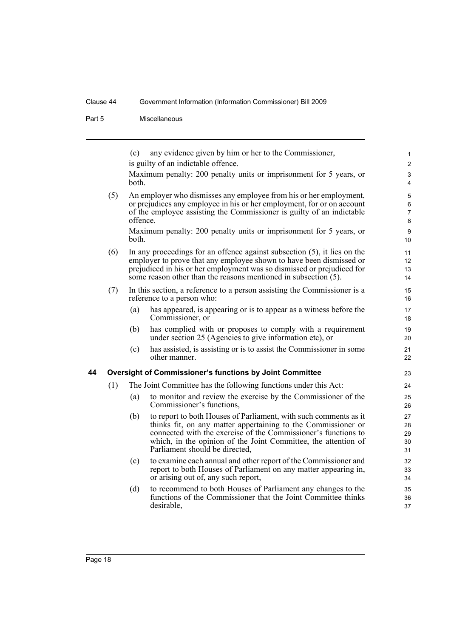Part 5 Miscellaneous

<span id="page-27-0"></span>(c) any evidence given by him or her to the Commissioner, is guilty of an indictable offence. Maximum penalty: 200 penalty units or imprisonment for 5 years, or both. (5) An employer who dismisses any employee from his or her employment, or prejudices any employee in his or her employment, for or on account of the employee assisting the Commissioner is guilty of an indictable offence. Maximum penalty: 200 penalty units or imprisonment for 5 years, or both. (6) In any proceedings for an offence against subsection (5), it lies on the employer to prove that any employee shown to have been dismissed or prejudiced in his or her employment was so dismissed or prejudiced for some reason other than the reasons mentioned in subsection (5). (7) In this section, a reference to a person assisting the Commissioner is a reference to a person who: (a) has appeared, is appearing or is to appear as a witness before the Commissioner, or (b) has complied with or proposes to comply with a requirement under section 25 (Agencies to give information etc), or (c) has assisted, is assisting or is to assist the Commissioner in some other manner. **44 Oversight of Commissioner's functions by Joint Committee** (1) The Joint Committee has the following functions under this Act: (a) to monitor and review the exercise by the Commissioner of the Commissioner's functions, (b) to report to both Houses of Parliament, with such comments as it thinks fit, on any matter appertaining to the Commissioner or connected with the exercise of the Commissioner's functions to which, in the opinion of the Joint Committee, the attention of Parliament should be directed, (c) to examine each annual and other report of the Commissioner and report to both Houses of Parliament on any matter appearing in, or arising out of, any such report, (d) to recommend to both Houses of Parliament any changes to the functions of the Commissioner that the Joint Committee thinks desirable, 1  $\overline{2}$ 3 4 5 6 7 8 9 10 11 12 13 14 15 16 17 18 19 20 21 22 23 24 25 26 27 28 29 30 31 32 33 34 35 36 37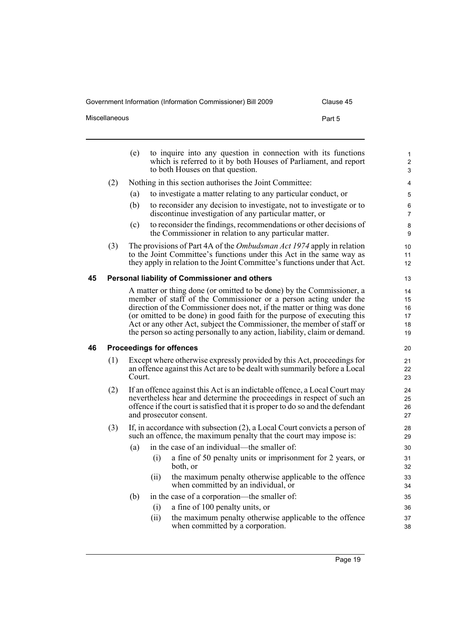Government Information (Information Commissioner) Bill 2009 Clause 45

| Miscellaneous | Part 5 |
|---------------|--------|
|               |        |

<span id="page-28-1"></span><span id="page-28-0"></span>

|    |     | (e)                                                                                                                                                                                                                                                              | to inquire into any question in connection with its functions<br>which is referred to it by both Houses of Parliament, and report<br>to both Houses on that question.                                                                                                                                                                                                                                                                                   | $\mathbf{1}$<br>$\overline{2}$<br>3 |
|----|-----|------------------------------------------------------------------------------------------------------------------------------------------------------------------------------------------------------------------------------------------------------------------|---------------------------------------------------------------------------------------------------------------------------------------------------------------------------------------------------------------------------------------------------------------------------------------------------------------------------------------------------------------------------------------------------------------------------------------------------------|-------------------------------------|
|    | (2) |                                                                                                                                                                                                                                                                  | Nothing in this section authorises the Joint Committee:                                                                                                                                                                                                                                                                                                                                                                                                 | 4                                   |
|    |     | (a)                                                                                                                                                                                                                                                              | to investigate a matter relating to any particular conduct, or                                                                                                                                                                                                                                                                                                                                                                                          | 5                                   |
|    |     | (b)                                                                                                                                                                                                                                                              | to reconsider any decision to investigate, not to investigate or to<br>discontinue investigation of any particular matter, or                                                                                                                                                                                                                                                                                                                           | 6<br>$\overline{7}$                 |
|    |     | (c)                                                                                                                                                                                                                                                              | to reconsider the findings, recommendations or other decisions of<br>the Commissioner in relation to any particular matter.                                                                                                                                                                                                                                                                                                                             | 8<br>9                              |
|    | (3) |                                                                                                                                                                                                                                                                  | The provisions of Part 4A of the <i>Ombudsman Act 1974</i> apply in relation<br>to the Joint Committee's functions under this Act in the same way as<br>they apply in relation to the Joint Committee's functions under that Act.                                                                                                                                                                                                                       | 10<br>11<br>12                      |
| 45 |     |                                                                                                                                                                                                                                                                  | Personal liability of Commissioner and others                                                                                                                                                                                                                                                                                                                                                                                                           | 13                                  |
|    |     |                                                                                                                                                                                                                                                                  | A matter or thing done (or omitted to be done) by the Commissioner, a<br>member of staff of the Commissioner or a person acting under the<br>direction of the Commissioner does not, if the matter or thing was done<br>(or omitted to be done) in good faith for the purpose of executing this<br>Act or any other Act, subject the Commissioner, the member of staff or<br>the person so acting personally to any action, liability, claim or demand. | 14<br>15<br>16<br>17<br>18<br>19    |
| 46 |     |                                                                                                                                                                                                                                                                  | <b>Proceedings for offences</b>                                                                                                                                                                                                                                                                                                                                                                                                                         | 20                                  |
|    | (1) | Court.                                                                                                                                                                                                                                                           | Except where otherwise expressly provided by this Act, proceedings for<br>an offence against this Act are to be dealt with summarily before a Local                                                                                                                                                                                                                                                                                                     | 21<br>22<br>23                      |
|    | (2) | If an offence against this Act is an indictable offence, a Local Court may<br>nevertheless hear and determine the proceedings in respect of such an<br>offence if the court is satisfied that it is proper to do so and the defendant<br>and prosecutor consent. |                                                                                                                                                                                                                                                                                                                                                                                                                                                         |                                     |
|    | (3) |                                                                                                                                                                                                                                                                  | If, in accordance with subsection (2), a Local Court convicts a person of<br>such an offence, the maximum penalty that the court may impose is:                                                                                                                                                                                                                                                                                                         | 28<br>29                            |
|    |     | (a)                                                                                                                                                                                                                                                              | in the case of an individual—the smaller of:<br>a fine of 50 penalty units or imprisonment for 2 years, or<br>(i)<br>both, or                                                                                                                                                                                                                                                                                                                           | 30<br>31<br>32                      |
|    |     | (ii)                                                                                                                                                                                                                                                             | the maximum penalty otherwise applicable to the offence<br>when committed by an individual, or                                                                                                                                                                                                                                                                                                                                                          | 33<br>34                            |
|    |     | (b)                                                                                                                                                                                                                                                              | in the case of a corporation—the smaller of:                                                                                                                                                                                                                                                                                                                                                                                                            | 35                                  |
|    |     |                                                                                                                                                                                                                                                                  | a fine of 100 penalty units, or<br>(i)                                                                                                                                                                                                                                                                                                                                                                                                                  | 36                                  |
|    |     | (ii)                                                                                                                                                                                                                                                             | the maximum penalty otherwise applicable to the offence<br>when committed by a corporation.                                                                                                                                                                                                                                                                                                                                                             | 37<br>38                            |
|    |     |                                                                                                                                                                                                                                                                  |                                                                                                                                                                                                                                                                                                                                                                                                                                                         |                                     |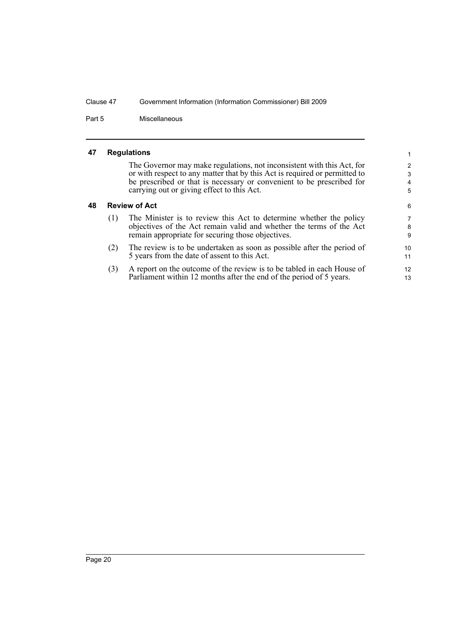Part 5 Miscellaneous

#### <span id="page-29-0"></span>**47 Regulations**

The Governor may make regulations, not inconsistent with this Act, for or with respect to any matter that by this Act is required or permitted to be prescribed or that is necessary or convenient to be prescribed for carrying out or giving effect to this Act.

13

#### <span id="page-29-1"></span>**48 Review of Act**

| (1) | The Minister is to review this Act to determine whether the policy<br>objectives of the Act remain valid and whether the terms of the Act<br>remain appropriate for securing those objectives. | 7<br>8<br>9 |
|-----|------------------------------------------------------------------------------------------------------------------------------------------------------------------------------------------------|-------------|
| (2) | The review is to be undertaken as soon as possible after the period of<br>5 years from the date of assent to this Act.                                                                         | 10<br>11    |
|     | A report on the outcome of the review is to be tabled in each House of                                                                                                                         | 12          |

(3) A report on the outcome of the review is to be tabled in each House of Parliament within 12 months after the end of the period of 5 years.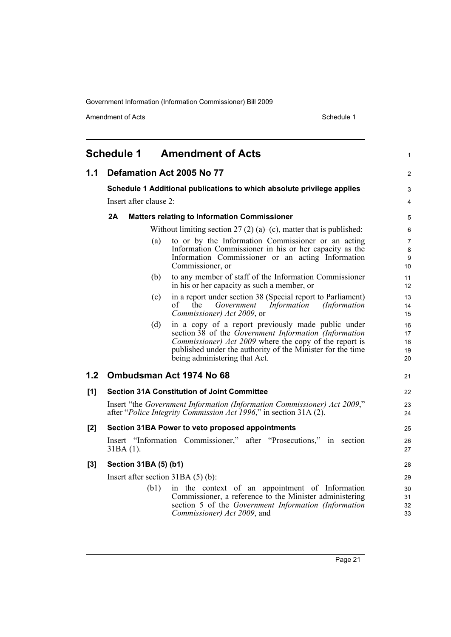Amendment of Acts Schedule 1

<span id="page-30-0"></span>

|       | <b>Schedule 1</b>      | <b>Amendment of Acts</b>                                                                                                                                                                                                                                                           | 1                          |
|-------|------------------------|------------------------------------------------------------------------------------------------------------------------------------------------------------------------------------------------------------------------------------------------------------------------------------|----------------------------|
| 1.1   |                        | Defamation Act 2005 No 77                                                                                                                                                                                                                                                          | $\overline{c}$             |
|       |                        | Schedule 1 Additional publications to which absolute privilege applies                                                                                                                                                                                                             | 3                          |
|       | Insert after clause 2: |                                                                                                                                                                                                                                                                                    | 4                          |
|       | 2A                     | <b>Matters relating to Information Commissioner</b>                                                                                                                                                                                                                                | 5                          |
|       |                        | Without limiting section $27(2)(a)$ –(c), matter that is published:                                                                                                                                                                                                                | 6                          |
|       |                        | to or by the Information Commissioner or an acting<br>(a)<br>Information Commissioner in his or her capacity as the<br>Information Commissioner or an acting Information<br>Commissioner, or                                                                                       | 7<br>8<br>9<br>10          |
|       |                        | to any member of staff of the Information Commissioner<br>(b)<br>in his or her capacity as such a member, or                                                                                                                                                                       | 11<br>12                   |
|       |                        | in a report under section 38 (Special report to Parliament)<br>(c)<br>of<br>the<br>Information<br>Government<br>(Information<br>Commissioner) Act 2009, or                                                                                                                         | 13<br>14<br>15             |
|       |                        | in a copy of a report previously made public under<br>(d)<br>section 38 of the Government Information (Information<br><i>Commissioner) Act 2009</i> where the copy of the report is<br>published under the authority of the Minister for the time<br>being administering that Act. | 16<br>17<br>18<br>19<br>20 |
| 1.2   |                        | Ombudsman Act 1974 No 68                                                                                                                                                                                                                                                           | 21                         |
| [1]   |                        | <b>Section 31A Constitution of Joint Committee</b>                                                                                                                                                                                                                                 | 22                         |
|       |                        | Insert "the Government Information (Information Commissioner) Act 2009,"<br>after "Police Integrity Commission Act 1996," in section 31A (2).                                                                                                                                      | 23<br>24                   |
| [2]   |                        | Section 31BA Power to veto proposed appointments                                                                                                                                                                                                                                   | 25                         |
|       | $31BA(1)$ .            | Insert "Information Commissioner," after "Prosecutions," in section                                                                                                                                                                                                                | 26<br>27                   |
| $[3]$ | Section 31BA (5) (b1)  |                                                                                                                                                                                                                                                                                    | 28                         |
|       |                        | Insert after section $31BA(5)(b)$ :                                                                                                                                                                                                                                                | 29                         |
|       | (b1)                   | in the context of an appointment of Information<br>Commissioner, a reference to the Minister administering<br>section 5 of the Government Information (Information<br>Commissioner) Act 2009, and                                                                                  | 30<br>31<br>32<br>33       |